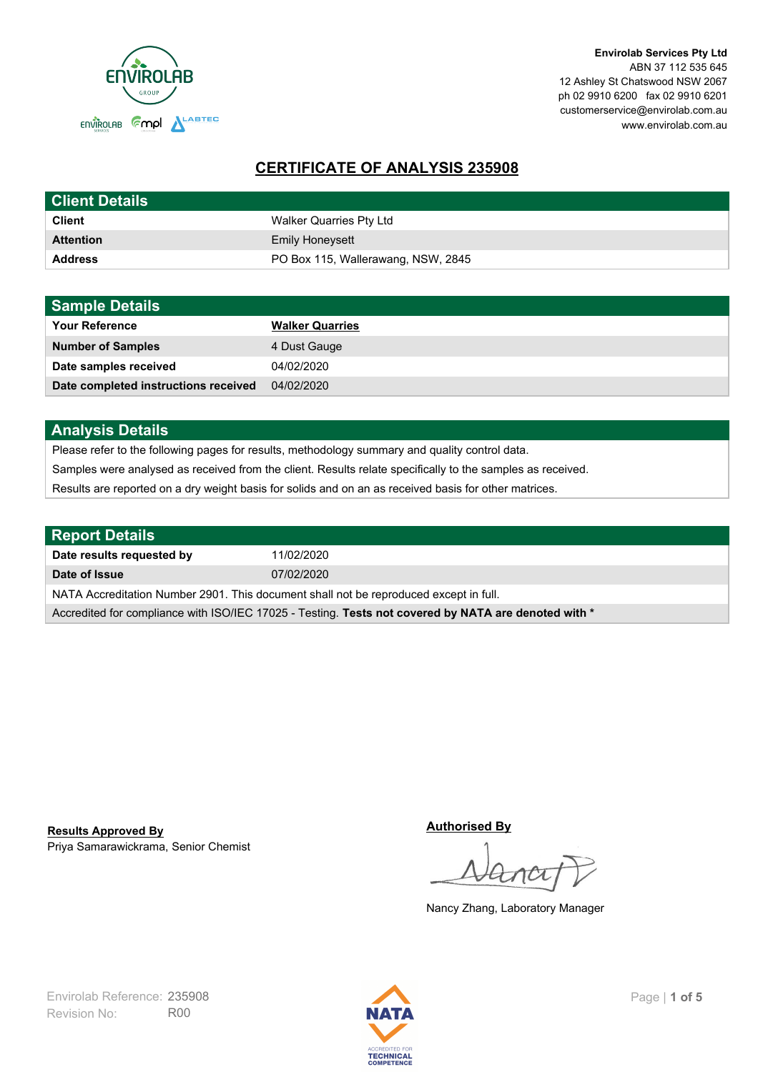

**Envirolab Services Pty Ltd** ABN 37 112 535 645 12 Ashley St Chatswood NSW 2067 ph 02 9910 6200 fax 02 9910 6201 customerservice@envirolab.com.au www.envirolab.com.au

# **CERTIFICATE OF ANALYSIS 235908**

| <b>Client Details</b> |                                    |
|-----------------------|------------------------------------|
| <b>Client</b>         | Walker Quarries Pty Ltd            |
| <b>Attention</b>      | <b>Emily Honeysett</b>             |
| <b>Address</b>        | PO Box 115, Wallerawang, NSW, 2845 |

| <b>Sample Details</b>                |                        |
|--------------------------------------|------------------------|
| <b>Your Reference</b>                | <b>Walker Quarries</b> |
| <b>Number of Samples</b>             | 4 Dust Gauge           |
| Date samples received                | 04/02/2020             |
| Date completed instructions received | 04/02/2020             |

## **Analysis Details**

Please refer to the following pages for results, methodology summary and quality control data.

Samples were analysed as received from the client. Results relate specifically to the samples as received.

Results are reported on a dry weight basis for solids and on an as received basis for other matrices.

| <b>Report Details</b>                                                                                |            |  |
|------------------------------------------------------------------------------------------------------|------------|--|
| Date results requested by                                                                            | 11/02/2020 |  |
| Date of Issue                                                                                        | 07/02/2020 |  |
| NATA Accreditation Number 2901. This document shall not be reproduced except in full.                |            |  |
| Accredited for compliance with ISO/IEC 17025 - Testing. Tests not covered by NATA are denoted with * |            |  |

Priya Samarawickrama, Senior Chemist **Results Approved By**

**Authorised By**

Nancy Zhang, Laboratory Manager

Revision No: R00 Envirolab Reference: 235908 Page | 1 of 5

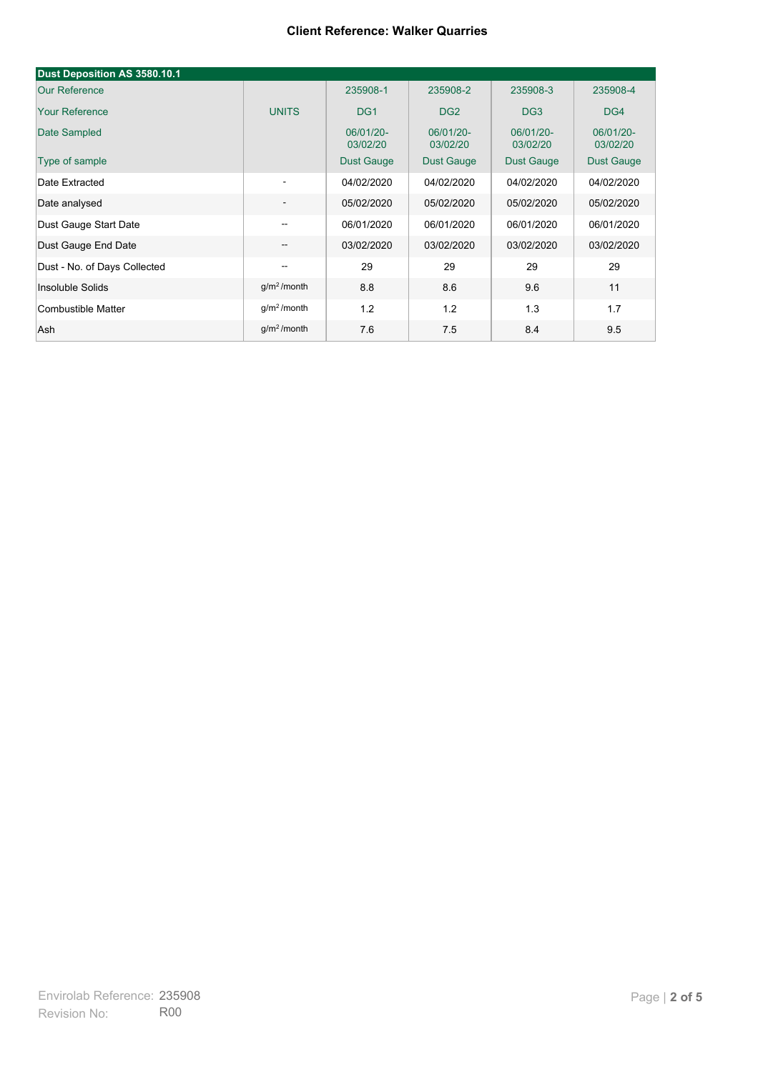| Dust Deposition AS 3580.10.1 |                          |                       |                       |                       |                       |
|------------------------------|--------------------------|-----------------------|-----------------------|-----------------------|-----------------------|
| <b>Our Reference</b>         |                          | 235908-1              | 235908-2              | 235908-3              | 235908-4              |
| <b>Your Reference</b>        | <b>UNITS</b>             | DG <sub>1</sub>       | DG <sub>2</sub>       | DG <sub>3</sub>       | DG4                   |
| Date Sampled                 |                          | 06/01/20-<br>03/02/20 | 06/01/20-<br>03/02/20 | 06/01/20-<br>03/02/20 | 06/01/20-<br>03/02/20 |
| Type of sample               |                          | <b>Dust Gauge</b>     | <b>Dust Gauge</b>     | <b>Dust Gauge</b>     | Dust Gauge            |
| Date Extracted               | $\overline{\phantom{a}}$ | 04/02/2020            | 04/02/2020            | 04/02/2020            | 04/02/2020            |
| Date analysed                | -                        | 05/02/2020            | 05/02/2020            | 05/02/2020            | 05/02/2020            |
| Dust Gauge Start Date        | --                       | 06/01/2020            | 06/01/2020            | 06/01/2020            | 06/01/2020            |
| Dust Gauge End Date          | $\overline{\phantom{a}}$ | 03/02/2020            | 03/02/2020            | 03/02/2020            | 03/02/2020            |
| Dust - No. of Days Collected | $\overline{\phantom{m}}$ | 29                    | 29                    | 29                    | 29                    |
| Insoluble Solids             | g/m <sup>2</sup> /month  | 8.8                   | 8.6                   | 9.6                   | 11                    |
| Combustible Matter           | g/m <sup>2</sup> /month  | 1.2                   | 1.2                   | 1.3                   | 1.7                   |
| Ash                          | g/m <sup>2</sup> /month  | 7.6                   | 7.5                   | 8.4                   | 9.5                   |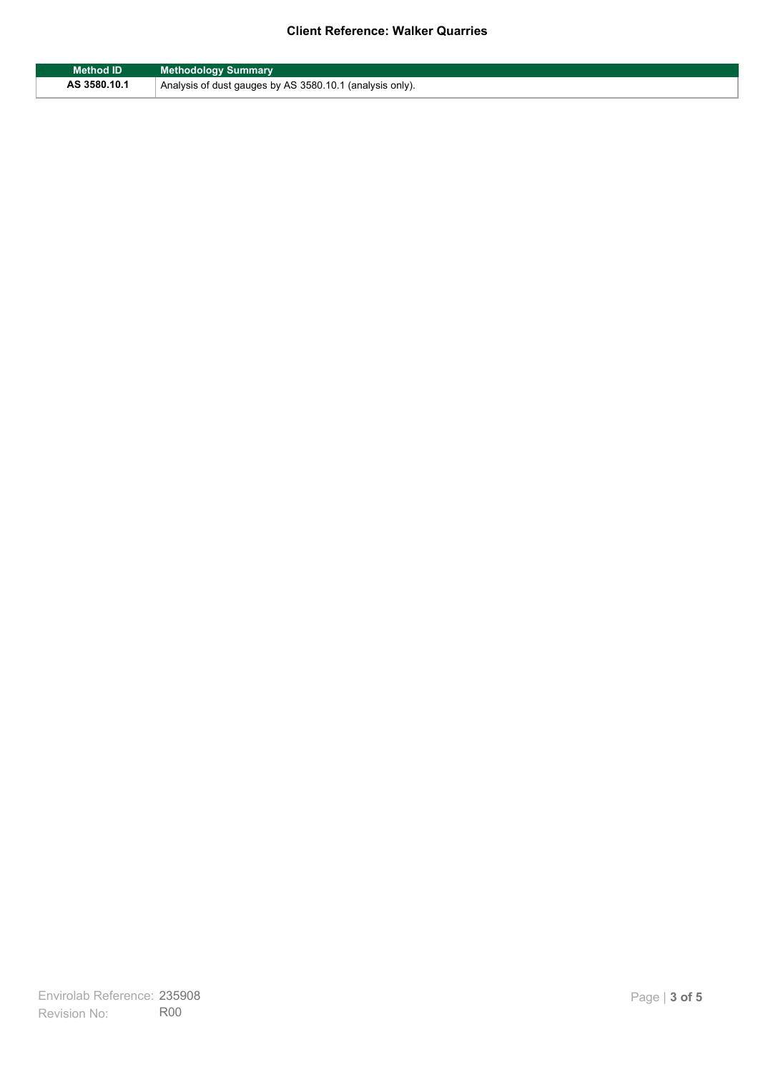| Method ID    | <b>Methodology Summary</b>                               |
|--------------|----------------------------------------------------------|
| AS 3580.10.1 | Analysis of dust gauges by AS 3580.10.1 (analysis only). |

F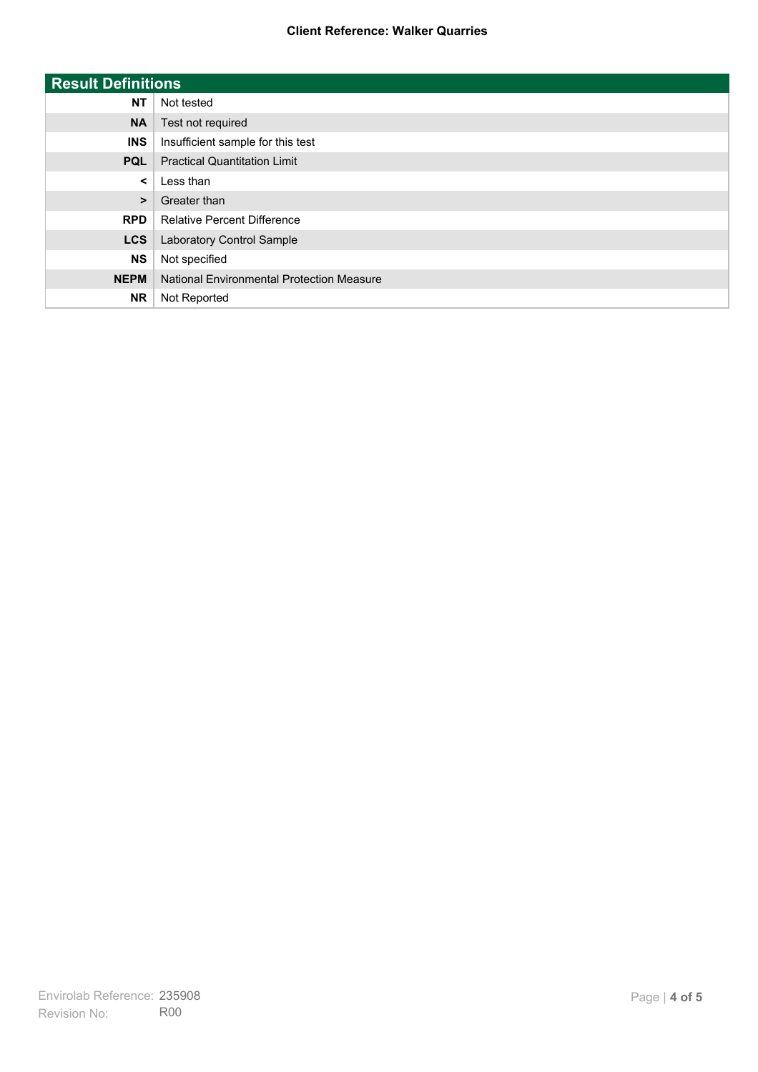| <b>Result Definitions</b> |                                           |
|---------------------------|-------------------------------------------|
| <b>NT</b>                 | Not tested                                |
| <b>NA</b>                 | Test not required                         |
| <b>INS</b>                | Insufficient sample for this test         |
| <b>PQL</b>                | <b>Practical Quantitation Limit</b>       |
| $\prec$                   | Less than                                 |
| $\geq$                    | Greater than                              |
| <b>RPD</b>                | <b>Relative Percent Difference</b>        |
| <b>LCS</b>                | Laboratory Control Sample                 |
| <b>NS</b>                 | Not specified                             |
| <b>NEPM</b>               | National Environmental Protection Measure |
| <b>NR</b>                 | Not Reported                              |